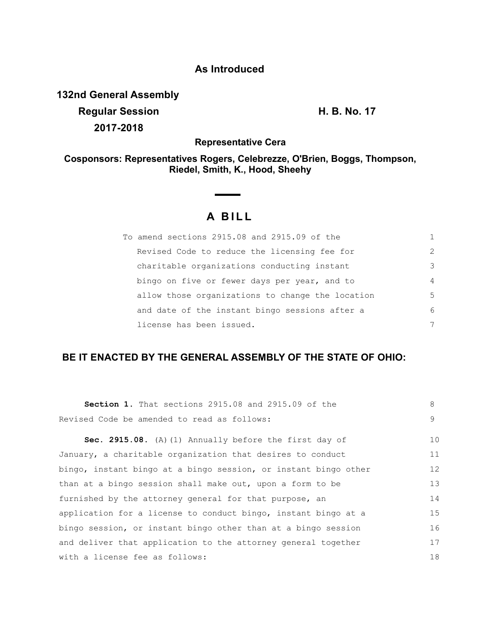# **As Introduced**

**132nd General Assembly Regular Session H. B. No. 17 2017-2018**

**Representative Cera**

**Cosponsors: Representatives Rogers, Celebrezze, O'Brien, Boggs, Thompson, Riedel, Smith, K., Hood, Sheehy**

# **A BILL**

| To amend sections 2915.08 and 2915.09 of the     |                |
|--------------------------------------------------|----------------|
| Revised Code to reduce the licensing fee for     | $\mathcal{L}$  |
| charitable organizations conducting instant      | 3              |
| bingo on five or fewer days per year, and to     | $\overline{4}$ |
| allow those organizations to change the location | 5              |
| and date of the instant bingo sessions after a   | 6              |
| license has been issued.                         | 7              |

# **BE IT ENACTED BY THE GENERAL ASSEMBLY OF THE STATE OF OHIO:**

| <b>Section 1.</b> That sections 2915.08 and 2915.09 of the      | 8  |
|-----------------------------------------------------------------|----|
| Revised Code be amended to read as follows:                     | 9  |
| Sec. 2915.08. (A) (1) Annually before the first day of          | 10 |
| January, a charitable organization that desires to conduct      | 11 |
| bingo, instant bingo at a bingo session, or instant bingo other | 12 |
| than at a bingo session shall make out, upon a form to be       | 13 |
| furnished by the attorney general for that purpose, an          | 14 |
| application for a license to conduct bingo, instant bingo at a  | 15 |
| bingo session, or instant bingo other than at a bingo session   | 16 |
| and deliver that application to the attorney general together   | 17 |
| with a license fee as follows:                                  | 18 |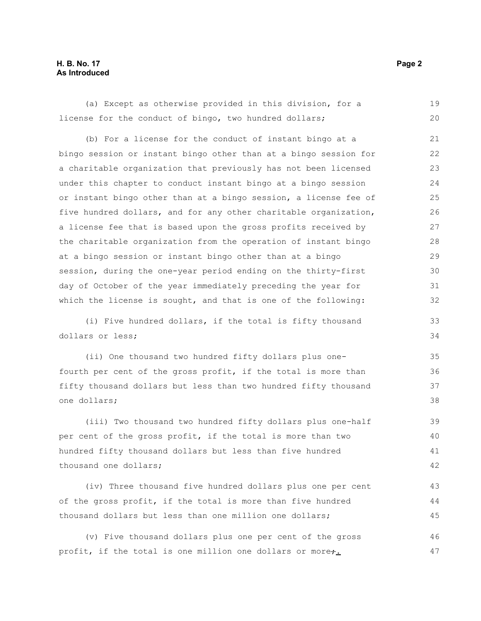## **H. B. No. 17 Page 2 As Introduced**

| (a) Except as otherwise provided in this division, for a         | 19 |
|------------------------------------------------------------------|----|
| license for the conduct of bingo, two hundred dollars;           | 20 |
| (b) For a license for the conduct of instant bingo at a          | 21 |
| bingo session or instant bingo other than at a bingo session for | 22 |
| a charitable organization that previously has not been licensed  | 23 |
| under this chapter to conduct instant bingo at a bingo session   | 24 |
| or instant bingo other than at a bingo session, a license fee of | 25 |
| five hundred dollars, and for any other charitable organization, | 26 |
| a license fee that is based upon the gross profits received by   | 27 |
| the charitable organization from the operation of instant bingo  | 28 |
| at a bingo session or instant bingo other than at a bingo        | 29 |
| session, during the one-year period ending on the thirty-first   | 30 |
| day of October of the year immediately preceding the year for    | 31 |
| which the license is sought, and that is one of the following:   | 32 |
| (i) Five hundred dollars, if the total is fifty thousand         | 33 |
| dollars or less;                                                 | 34 |
| (ii) One thousand two hundred fifty dollars plus one-            | 35 |
| fourth per cent of the gross profit, if the total is more than   | 36 |
| fifty thousand dollars but less than two hundred fifty thousand  | 37 |
| one dollars;                                                     | 38 |
| (iii) Two thousand two hundred fifty dollars plus one-half       | 39 |
| per cent of the gross profit, if the total is more than two      | 40 |
| hundred fifty thousand dollars but less than five hundred        | 41 |
| thousand one dollars;                                            | 42 |
| (iv) Three thousand five hundred dollars plus one per cent       | 43 |
| of the gross profit, if the total is more than five hundred      | 44 |
| thousand dollars but less than one million one dollars;          | 45 |

(v) Five thousand dollars plus one per cent of the gross profit, if the total is one million one dollars or more<sub>t</sub>. 46 47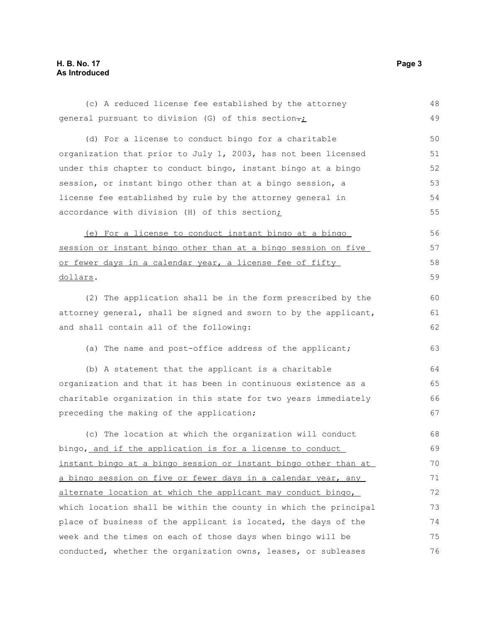## **H. B. No. 17 Page 3 As Introduced**

| (c) A reduced license fee established by the attorney            | 48 |
|------------------------------------------------------------------|----|
| general pursuant to division (G) of this section-i               | 49 |
| (d) For a license to conduct bingo for a charitable              | 50 |
| organization that prior to July 1, 2003, has not been licensed   | 51 |
| under this chapter to conduct bingo, instant bingo at a bingo    | 52 |
| session, or instant bingo other than at a bingo session, a       | 53 |
| license fee established by rule by the attorney general in       | 54 |
| accordance with division (H) of this section;                    | 55 |
| (e) For a license to conduct instant bingo at a bingo            | 56 |
| session or instant bingo other than at a bingo session on five   | 57 |
| or fewer days in a calendar year, a license fee of fifty         | 58 |
| <u>dollars</u> .                                                 | 59 |
| (2) The application shall be in the form prescribed by the       | 60 |
| attorney general, shall be signed and sworn to by the applicant, | 61 |
| and shall contain all of the following:                          | 62 |
| (a) The name and post-office address of the applicant;           | 63 |
| (b) A statement that the applicant is a charitable               | 64 |
| organization and that it has been in continuous existence as a   | 65 |
| charitable organization in this state for two years immediately  | 66 |
| preceding the making of the application;                         | 67 |
| (c) The location at which the organization will conduct          | 68 |
| bingo, and if the application is for a license to conduct        | 69 |
| instant bingo at a bingo session or instant bingo other than at  | 70 |
| a bingo session on five or fewer days in a calendar year, any    | 71 |
| alternate location at which the applicant may conduct bingo,     | 72 |
| which location shall be within the county in which the principal | 73 |
| place of business of the applicant is located, the days of the   | 74 |
| week and the times on each of those days when bingo will be      | 75 |
| conducted, whether the organization owns, leases, or subleases   | 76 |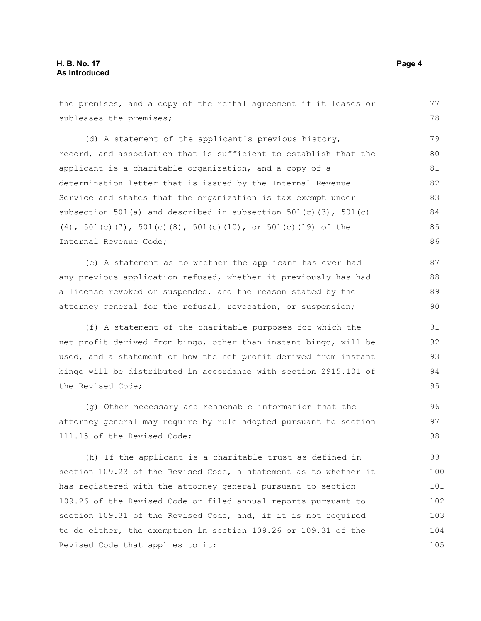the premises, and a copy of the rental agreement if it leases or subleases the premises; (d) A statement of the applicant's previous history, record, and association that is sufficient to establish that the applicant is a charitable organization, and a copy of a determination letter that is issued by the Internal Revenue Service and states that the organization is tax exempt under subsection 501(a) and described in subsection 501(c)(3), 501(c) (4), 501(c)(7), 501(c)(8), 501(c)(10), or 501(c)(19) of the Internal Revenue Code; (e) A statement as to whether the applicant has ever had any previous application refused, whether it previously has had a license revoked or suspended, and the reason stated by the attorney general for the refusal, revocation, or suspension; (f) A statement of the charitable purposes for which the net profit derived from bingo, other than instant bingo, will be used, and a statement of how the net profit derived from instant bingo will be distributed in accordance with section 2915.101 of the Revised Code; (g) Other necessary and reasonable information that the attorney general may require by rule adopted pursuant to section 111.15 of the Revised Code; 77 78 79 80 81 82 83 84 85 86 87 88 89 90 91 92 93 94 95 96 97 98

(h) If the applicant is a charitable trust as defined in section 109.23 of the Revised Code, a statement as to whether it has registered with the attorney general pursuant to section 109.26 of the Revised Code or filed annual reports pursuant to section 109.31 of the Revised Code, and, if it is not required to do either, the exemption in section 109.26 or 109.31 of the Revised Code that applies to it; 99 100 101 102 103 104 105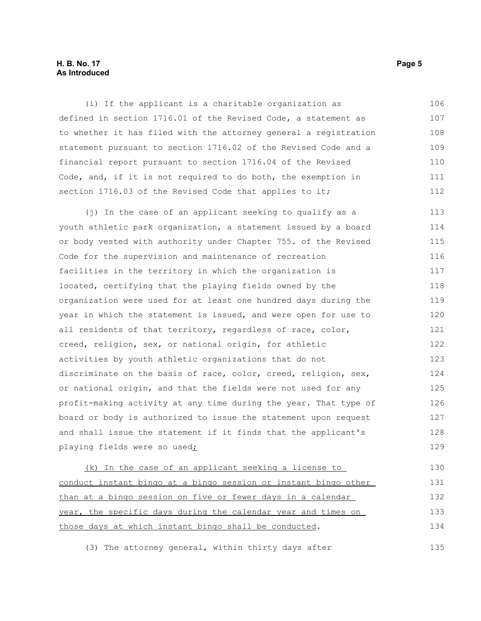#### **H. B. No. 17 Page 5 As Introduced**

(i) If the applicant is a charitable organization as defined in section 1716.01 of the Revised Code, a statement as to whether it has filed with the attorney general a registration statement pursuant to section 1716.02 of the Revised Code and a financial report pursuant to section 1716.04 of the Revised Code, and, if it is not required to do both, the exemption in section 1716.03 of the Revised Code that applies to it; 106 107 108 109 110 111 112

(j) In the case of an applicant seeking to qualify as a youth athletic park organization, a statement issued by a board or body vested with authority under Chapter 755. of the Revised Code for the supervision and maintenance of recreation facilities in the territory in which the organization is located, certifying that the playing fields owned by the organization were used for at least one hundred days during the year in which the statement is issued, and were open for use to all residents of that territory, regardless of race, color, creed, religion, sex, or national origin, for athletic activities by youth athletic organizations that do not discriminate on the basis of race, color, creed, religion, sex, or national origin, and that the fields were not used for any profit-making activity at any time during the year. That type of board or body is authorized to issue the statement upon request and shall issue the statement if it finds that the applicant's playing fields were so used; 113 114 115 116 117 118 119 120 121 122 123 124 125 126 127 128 129

 (k) In the case of an applicant seeking a license to conduct instant bingo at a bingo session or instant bingo other than at a bingo session on five or fewer days in a calendar year, the specific days during the calendar year and times on those days at which instant bingo shall be conducted. 130 131 132 133 134

(3) The attorney general, within thirty days after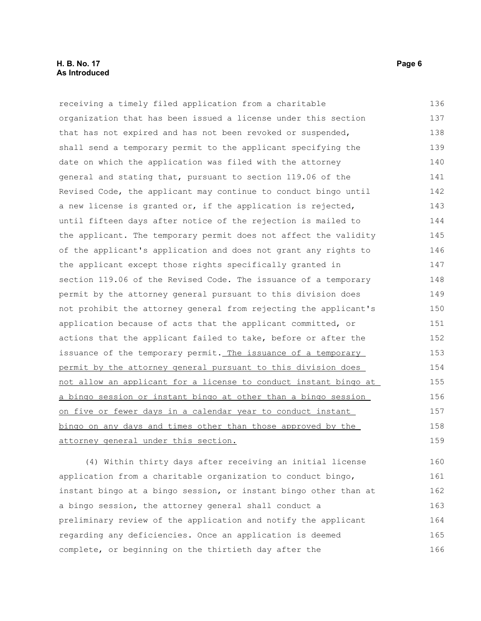#### **H. B. No. 17 Page 6 As Introduced**

receiving a timely filed application from a charitable organization that has been issued a license under this section that has not expired and has not been revoked or suspended, shall send a temporary permit to the applicant specifying the date on which the application was filed with the attorney general and stating that, pursuant to section 119.06 of the Revised Code, the applicant may continue to conduct bingo until a new license is granted or, if the application is rejected, until fifteen days after notice of the rejection is mailed to the applicant. The temporary permit does not affect the validity of the applicant's application and does not grant any rights to the applicant except those rights specifically granted in section 119.06 of the Revised Code. The issuance of a temporary permit by the attorney general pursuant to this division does not prohibit the attorney general from rejecting the applicant's application because of acts that the applicant committed, or actions that the applicant failed to take, before or after the issuance of the temporary permit. The issuance of a temporary permit by the attorney general pursuant to this division does not allow an applicant for a license to conduct instant bingo at a bingo session or instant bingo at other than a bingo session on five or fewer days in a calendar year to conduct instant bingo on any days and times other than those approved by the attorney general under this section. 136 137 138 139 140 141 142 143 144 145 146 147 148 149 150 151 152 153 154 155 156 157 158 159

(4) Within thirty days after receiving an initial license application from a charitable organization to conduct bingo, instant bingo at a bingo session, or instant bingo other than at a bingo session, the attorney general shall conduct a preliminary review of the application and notify the applicant regarding any deficiencies. Once an application is deemed complete, or beginning on the thirtieth day after the 160 161 162 163 164 165 166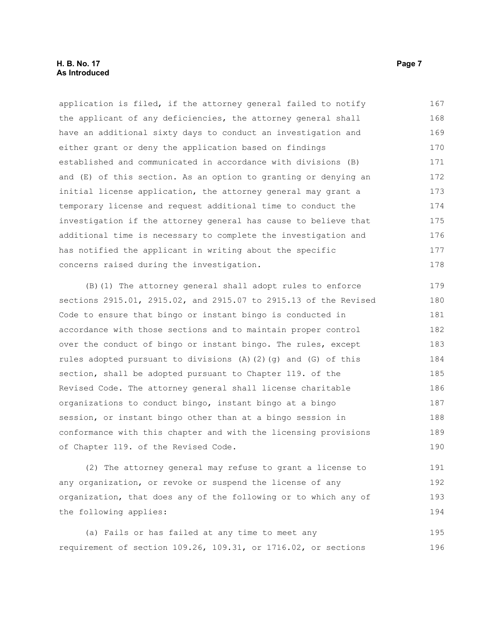#### **H. B. No. 17 Page 7 As Introduced**

application is filed, if the attorney general failed to notify the applicant of any deficiencies, the attorney general shall have an additional sixty days to conduct an investigation and either grant or deny the application based on findings established and communicated in accordance with divisions (B) and (E) of this section. As an option to granting or denying an initial license application, the attorney general may grant a temporary license and request additional time to conduct the investigation if the attorney general has cause to believe that additional time is necessary to complete the investigation and has notified the applicant in writing about the specific concerns raised during the investigation. 167 168 169 170 171 172 173 174 175 176 177 178

(B)(1) The attorney general shall adopt rules to enforce sections 2915.01, 2915.02, and 2915.07 to 2915.13 of the Revised Code to ensure that bingo or instant bingo is conducted in accordance with those sections and to maintain proper control over the conduct of bingo or instant bingo. The rules, except rules adopted pursuant to divisions (A)(2)(g) and (G) of this section, shall be adopted pursuant to Chapter 119. of the Revised Code. The attorney general shall license charitable organizations to conduct bingo, instant bingo at a bingo session, or instant bingo other than at a bingo session in conformance with this chapter and with the licensing provisions of Chapter 119. of the Revised Code. 179 180 181 182 183 184 185 186 187 188 189 190

(2) The attorney general may refuse to grant a license to any organization, or revoke or suspend the license of any organization, that does any of the following or to which any of the following applies: 191 192 193 194

(a) Fails or has failed at any time to meet any requirement of section 109.26, 109.31, or 1716.02, or sections 195 196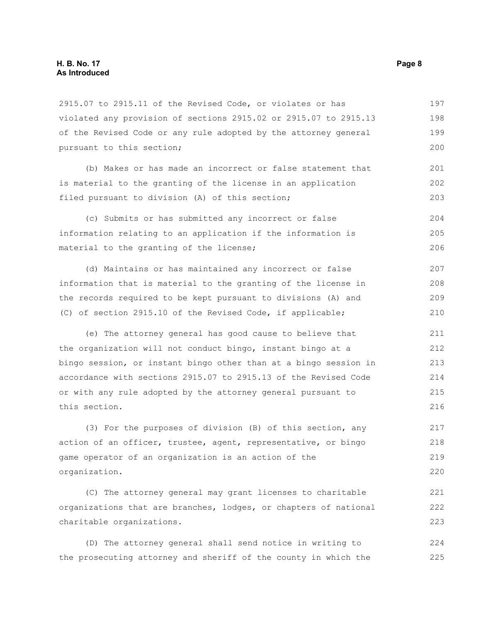2915.07 to 2915.11 of the Revised Code, or violates or has violated any provision of sections 2915.02 or 2915.07 to 2915.13 of the Revised Code or any rule adopted by the attorney general pursuant to this section; 197 198 199 200

(b) Makes or has made an incorrect or false statement that is material to the granting of the license in an application filed pursuant to division (A) of this section; 201 202 203

(c) Submits or has submitted any incorrect or false information relating to an application if the information is material to the granting of the license; 204 205 206

(d) Maintains or has maintained any incorrect or false information that is material to the granting of the license in the records required to be kept pursuant to divisions (A) and (C) of section 2915.10 of the Revised Code, if applicable; 207 208 209 210

(e) The attorney general has good cause to believe that the organization will not conduct bingo, instant bingo at a bingo session, or instant bingo other than at a bingo session in accordance with sections 2915.07 to 2915.13 of the Revised Code or with any rule adopted by the attorney general pursuant to this section. 211 212 213 214 215 216

(3) For the purposes of division (B) of this section, any action of an officer, trustee, agent, representative, or bingo game operator of an organization is an action of the organization. 217 218 219 220

(C) The attorney general may grant licenses to charitable organizations that are branches, lodges, or chapters of national charitable organizations.

(D) The attorney general shall send notice in writing to the prosecuting attorney and sheriff of the county in which the 224 225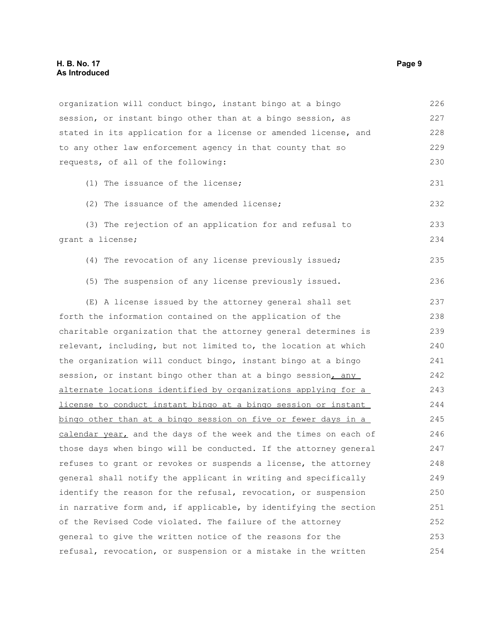organization will conduct bingo, instant bingo at a bingo session, or instant bingo other than at a bingo session, as stated in its application for a license or amended license, and to any other law enforcement agency in that county that so requests, of all of the following: (1) The issuance of the license; (2) The issuance of the amended license; (3) The rejection of an application for and refusal to grant a license; (4) The revocation of any license previously issued; (5) The suspension of any license previously issued. (E) A license issued by the attorney general shall set forth the information contained on the application of the charitable organization that the attorney general determines is relevant, including, but not limited to, the location at which the organization will conduct bingo, instant bingo at a bingo session, or instant bingo other than at a bingo session, any alternate locations identified by organizations applying for a license to conduct instant bingo at a bingo session or instant bingo other than at a bingo session on five or fewer days in a calendar year, and the days of the week and the times on each of those days when bingo will be conducted. If the attorney general refuses to grant or revokes or suspends a license, the attorney general shall notify the applicant in writing and specifically identify the reason for the refusal, revocation, or suspension in narrative form and, if applicable, by identifying the section of the Revised Code violated. The failure of the attorney general to give the written notice of the reasons for the refusal, revocation, or suspension or a mistake in the written 226 227 228 229 230 231 232 233 234 235 236 237 238 239 240 241 242 243 244 245 246 247 248 249 250 251 252 253 254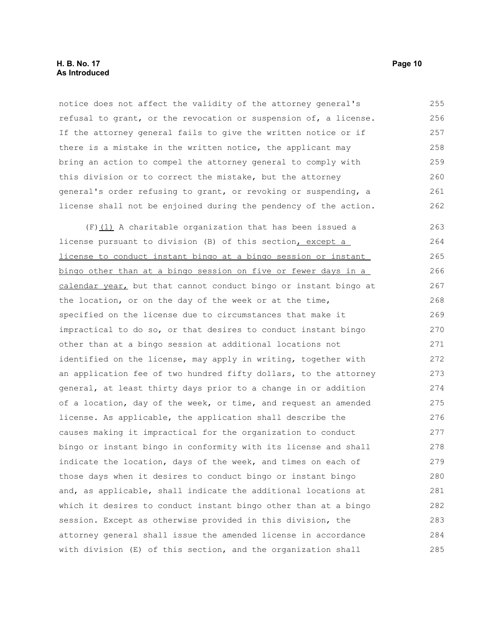notice does not affect the validity of the attorney general's refusal to grant, or the revocation or suspension of, a license. If the attorney general fails to give the written notice or if there is a mistake in the written notice, the applicant may bring an action to compel the attorney general to comply with this division or to correct the mistake, but the attorney general's order refusing to grant, or revoking or suspending, a license shall not be enjoined during the pendency of the action. 255 256 257 258 259 260 261 262

 $(F)$  (1) A charitable organization that has been issued a license pursuant to division (B) of this section, except a license to conduct instant bingo at a bingo session or instant bingo other than at a bingo session on five or fewer days in a calendar year, but that cannot conduct bingo or instant bingo at the location, or on the day of the week or at the time, specified on the license due to circumstances that make it impractical to do so, or that desires to conduct instant bingo other than at a bingo session at additional locations not identified on the license, may apply in writing, together with an application fee of two hundred fifty dollars, to the attorney general, at least thirty days prior to a change in or addition of a location, day of the week, or time, and request an amended license. As applicable, the application shall describe the causes making it impractical for the organization to conduct bingo or instant bingo in conformity with its license and shall indicate the location, days of the week, and times on each of those days when it desires to conduct bingo or instant bingo and, as applicable, shall indicate the additional locations at which it desires to conduct instant bingo other than at a bingo session. Except as otherwise provided in this division, the attorney general shall issue the amended license in accordance with division (E) of this section, and the organization shall 263 264 265 266 267 268 269 270 271 272 273 274 275 276 277 278 279 280 281 282 283 284 285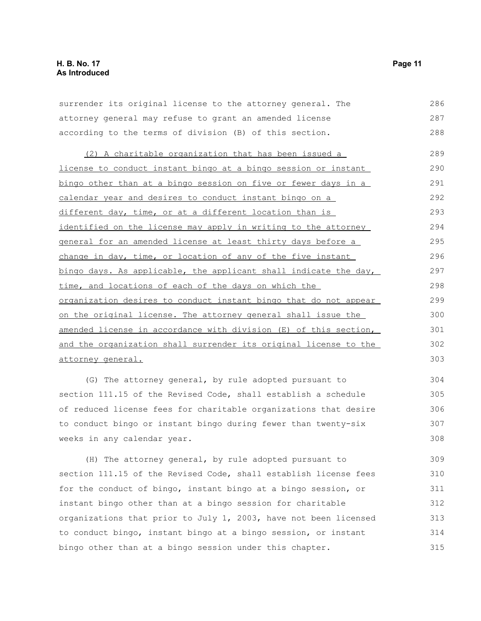surrender its original license to the attorney general. The attorney general may refuse to grant an amended license according to the terms of division (B) of this section. 286 287 288

(2) A charitable organization that has been issued a license to conduct instant bingo at a bingo session or instant bingo other than at a bingo session on five or fewer days in a calendar year and desires to conduct instant bingo on a different day, time, or at a different location than is identified on the license may apply in writing to the attorney general for an amended license at least thirty days before a change in day, time, or location of any of the five instant bingo days. As applicable, the applicant shall indicate the day, time, and locations of each of the days on which the organization desires to conduct instant bingo that do not appear on the original license. The attorney general shall issue the amended license in accordance with division (E) of this section, and the organization shall surrender its original license to the attorney general. 289 290 291 292 293 294 295 296 297 298 299 300 301 302 303

(G) The attorney general, by rule adopted pursuant to section 111.15 of the Revised Code, shall establish a schedule of reduced license fees for charitable organizations that desire to conduct bingo or instant bingo during fewer than twenty-six weeks in any calendar year. 305

(H) The attorney general, by rule adopted pursuant to section 111.15 of the Revised Code, shall establish license fees for the conduct of bingo, instant bingo at a bingo session, or instant bingo other than at a bingo session for charitable organizations that prior to July 1, 2003, have not been licensed to conduct bingo, instant bingo at a bingo session, or instant bingo other than at a bingo session under this chapter. 309 310 311 312 313 314 315

304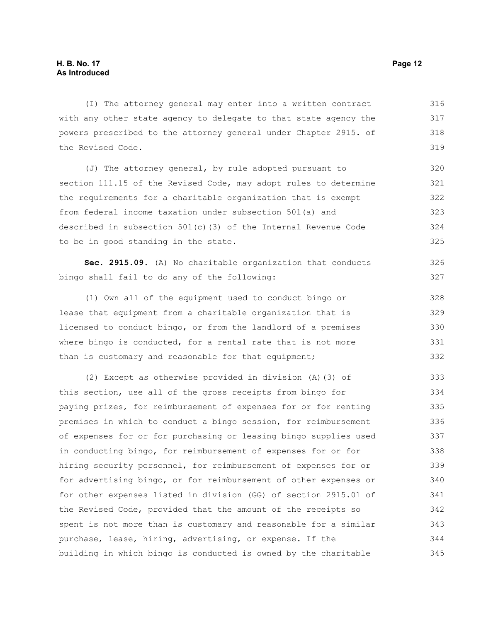(I) The attorney general may enter into a written contract with any other state agency to delegate to that state agency the powers prescribed to the attorney general under Chapter 2915. of the Revised Code. 316 317 318 319

(J) The attorney general, by rule adopted pursuant to section 111.15 of the Revised Code, may adopt rules to determine the requirements for a charitable organization that is exempt from federal income taxation under subsection 501(a) and described in subsection 501(c)(3) of the Internal Revenue Code to be in good standing in the state. 320 321 322 323 324 325

**Sec. 2915.09.** (A) No charitable organization that conducts bingo shall fail to do any of the following: 326 327

(1) Own all of the equipment used to conduct bingo or lease that equipment from a charitable organization that is licensed to conduct bingo, or from the landlord of a premises where bingo is conducted, for a rental rate that is not more than is customary and reasonable for that equipment; 328 329 330 331 332

(2) Except as otherwise provided in division (A)(3) of this section, use all of the gross receipts from bingo for paying prizes, for reimbursement of expenses for or for renting premises in which to conduct a bingo session, for reimbursement of expenses for or for purchasing or leasing bingo supplies used in conducting bingo, for reimbursement of expenses for or for hiring security personnel, for reimbursement of expenses for or for advertising bingo, or for reimbursement of other expenses or for other expenses listed in division (GG) of section 2915.01 of the Revised Code, provided that the amount of the receipts so spent is not more than is customary and reasonable for a similar purchase, lease, hiring, advertising, or expense. If the building in which bingo is conducted is owned by the charitable 333 334 335 336 337 338 339 340 341 342 343 344 345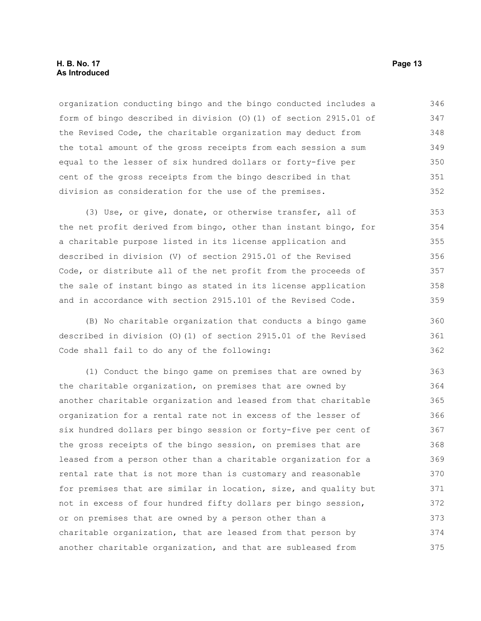#### **H. B. No. 17 Page 13 As Introduced**

organization conducting bingo and the bingo conducted includes a form of bingo described in division (O)(1) of section 2915.01 of the Revised Code, the charitable organization may deduct from the total amount of the gross receipts from each session a sum equal to the lesser of six hundred dollars or forty-five per cent of the gross receipts from the bingo described in that division as consideration for the use of the premises. 346 347 348 349 350 351 352

(3) Use, or give, donate, or otherwise transfer, all of the net profit derived from bingo, other than instant bingo, for a charitable purpose listed in its license application and described in division (V) of section 2915.01 of the Revised Code, or distribute all of the net profit from the proceeds of the sale of instant bingo as stated in its license application and in accordance with section 2915.101 of the Revised Code. 353 354 355 356 357 358 359

(B) No charitable organization that conducts a bingo game described in division (O)(1) of section 2915.01 of the Revised Code shall fail to do any of the following:

(1) Conduct the bingo game on premises that are owned by the charitable organization, on premises that are owned by another charitable organization and leased from that charitable organization for a rental rate not in excess of the lesser of six hundred dollars per bingo session or forty-five per cent of the gross receipts of the bingo session, on premises that are leased from a person other than a charitable organization for a rental rate that is not more than is customary and reasonable for premises that are similar in location, size, and quality but not in excess of four hundred fifty dollars per bingo session, or on premises that are owned by a person other than a charitable organization, that are leased from that person by another charitable organization, and that are subleased from 363 364 365 366 367 368 369 370 371 372 373 374 375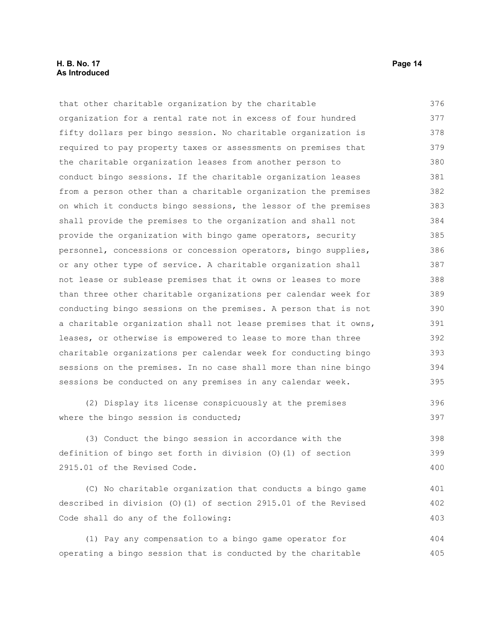#### **H. B. No. 17 Page 14 As Introduced**

that other charitable organization by the charitable organization for a rental rate not in excess of four hundred fifty dollars per bingo session. No charitable organization is required to pay property taxes or assessments on premises that the charitable organization leases from another person to conduct bingo sessions. If the charitable organization leases from a person other than a charitable organization the premises on which it conducts bingo sessions, the lessor of the premises shall provide the premises to the organization and shall not provide the organization with bingo game operators, security personnel, concessions or concession operators, bingo supplies, or any other type of service. A charitable organization shall not lease or sublease premises that it owns or leases to more than three other charitable organizations per calendar week for conducting bingo sessions on the premises. A person that is not a charitable organization shall not lease premises that it owns, leases, or otherwise is empowered to lease to more than three charitable organizations per calendar week for conducting bingo sessions on the premises. In no case shall more than nine bingo sessions be conducted on any premises in any calendar week. (2) Display its license conspicuously at the premises where the bingo session is conducted; (3) Conduct the bingo session in accordance with the definition of bingo set forth in division (O)(1) of section 2915.01 of the Revised Code. (C) No charitable organization that conducts a bingo game 376 377 378 379 380 381 382 383 384 385 386 387 388 389 390 391 392 393 394 395 396 397 398 399 400 401

(1) Pay any compensation to a bingo game operator for operating a bingo session that is conducted by the charitable 404 405

described in division (O)(1) of section 2915.01 of the Revised

Code shall do any of the following: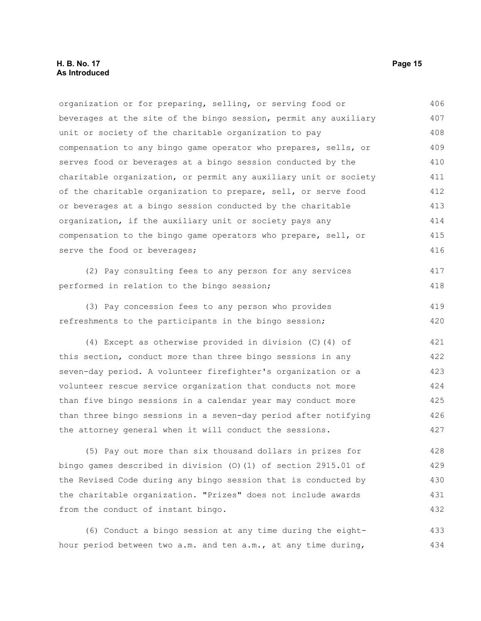#### **H. B. No. 17 Page 15 As Introduced**

organization or for preparing, selling, or serving food or beverages at the site of the bingo session, permit any auxiliary unit or society of the charitable organization to pay compensation to any bingo game operator who prepares, sells, or serves food or beverages at a bingo session conducted by the charitable organization, or permit any auxiliary unit or society of the charitable organization to prepare, sell, or serve food or beverages at a bingo session conducted by the charitable organization, if the auxiliary unit or society pays any compensation to the bingo game operators who prepare, sell, or serve the food or beverages; (2) Pay consulting fees to any person for any services performed in relation to the bingo session; (3) Pay concession fees to any person who provides refreshments to the participants in the bingo session; (4) Except as otherwise provided in division (C)(4) of this section, conduct more than three bingo sessions in any seven-day period. A volunteer firefighter's organization or a volunteer rescue service organization that conducts not more than five bingo sessions in a calendar year may conduct more than three bingo sessions in a seven-day period after notifying the attorney general when it will conduct the sessions. (5) Pay out more than six thousand dollars in prizes for bingo games described in division (O)(1) of section 2915.01 of the Revised Code during any bingo session that is conducted by the charitable organization. "Prizes" does not include awards 406 407 408 409 410 411 412 413 414 415 416 417 418 419 420 421 422 423 424 425 426 427 428 429 430 431

(6) Conduct a bingo session at any time during the eighthour period between two a.m. and ten a.m., at any time during, 433 434

from the conduct of instant bingo.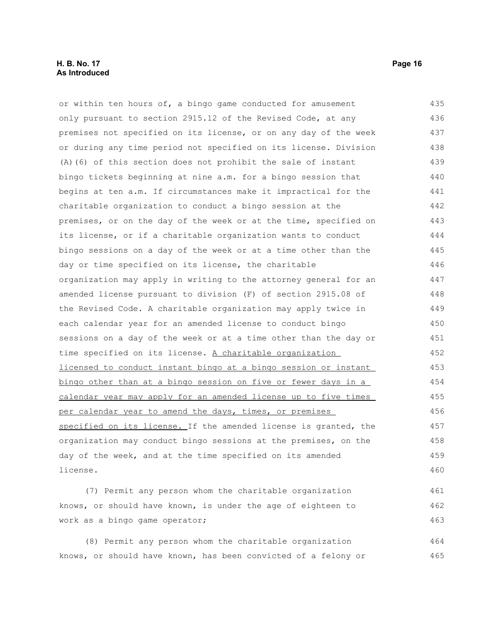or within ten hours of, a bingo game conducted for amusement only pursuant to section 2915.12 of the Revised Code, at any premises not specified on its license, or on any day of the week or during any time period not specified on its license. Division (A)(6) of this section does not prohibit the sale of instant bingo tickets beginning at nine a.m. for a bingo session that begins at ten a.m. If circumstances make it impractical for the charitable organization to conduct a bingo session at the premises, or on the day of the week or at the time, specified on its license, or if a charitable organization wants to conduct bingo sessions on a day of the week or at a time other than the day or time specified on its license, the charitable organization may apply in writing to the attorney general for an amended license pursuant to division (F) of section 2915.08 of the Revised Code. A charitable organization may apply twice in each calendar year for an amended license to conduct bingo sessions on a day of the week or at a time other than the day or time specified on its license. A charitable organization licensed to conduct instant bingo at a bingo session or instant bingo other than at a bingo session on five or fewer days in a calendar year may apply for an amended license up to five times per calendar year to amend the days, times, or premises specified on its license. If the amended license is granted, the organization may conduct bingo sessions at the premises, on the day of the week, and at the time specified on its amended license. (7) Permit any person whom the charitable organization 435 436 437 438 439 440 441 442 443 444 445 446 447 448 449 450 451 452 453 454 455 456 457 458 459 460 461

knows, or should have known, is under the age of eighteen to work as a bingo game operator; 462 463

(8) Permit any person whom the charitable organization knows, or should have known, has been convicted of a felony or 464 465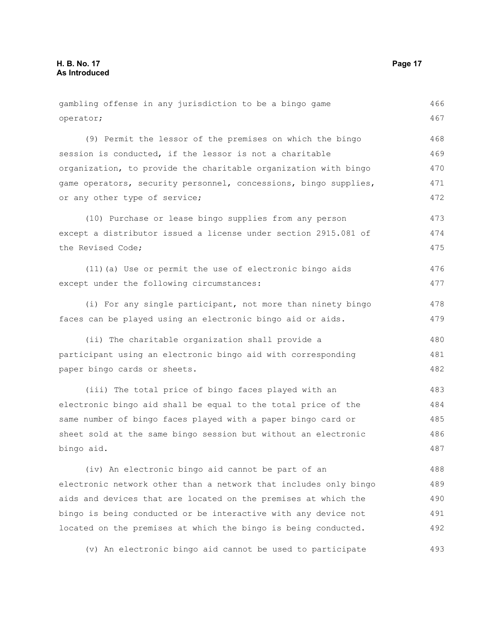gambling offense in any jurisdiction to be a bingo game operator; (9) Permit the lessor of the premises on which the bingo session is conducted, if the lessor is not a charitable organization, to provide the charitable organization with bingo game operators, security personnel, concessions, bingo supplies, or any other type of service; (10) Purchase or lease bingo supplies from any person except a distributor issued a license under section 2915.081 of the Revised Code; (11)(a) Use or permit the use of electronic bingo aids except under the following circumstances: (i) For any single participant, not more than ninety bingo faces can be played using an electronic bingo aid or aids. (ii) The charitable organization shall provide a participant using an electronic bingo aid with corresponding paper bingo cards or sheets. (iii) The total price of bingo faces played with an electronic bingo aid shall be equal to the total price of the same number of bingo faces played with a paper bingo card or sheet sold at the same bingo session but without an electronic bingo aid. (iv) An electronic bingo aid cannot be part of an electronic network other than a network that includes only bingo aids and devices that are located on the premises at which the bingo is being conducted or be interactive with any device not located on the premises at which the bingo is being conducted. (v) An electronic bingo aid cannot be used to participate 466 467 468 469 470 471 472 473 474 475 476 477 478 479 480 481 482 483 484 485 486 487 488 489 490 491 492 493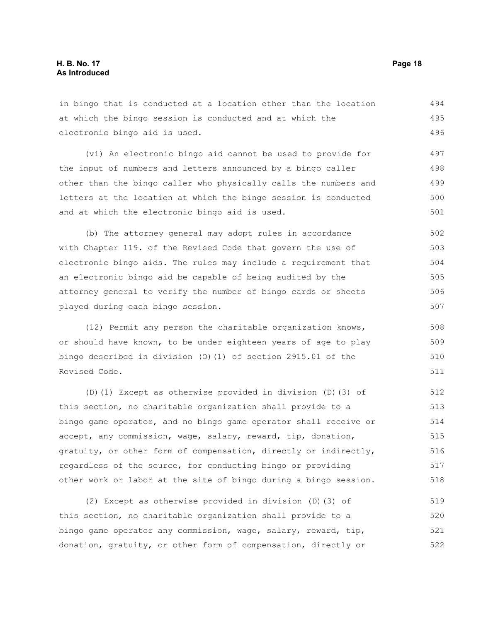#### **H. B. No. 17 Page 18 As Introduced**

in bingo that is conducted at a location other than the location at which the bingo session is conducted and at which the electronic bingo aid is used. 494 495 496

(vi) An electronic bingo aid cannot be used to provide for the input of numbers and letters announced by a bingo caller other than the bingo caller who physically calls the numbers and letters at the location at which the bingo session is conducted and at which the electronic bingo aid is used. 497 498 499 500 501

(b) The attorney general may adopt rules in accordance with Chapter 119. of the Revised Code that govern the use of electronic bingo aids. The rules may include a requirement that an electronic bingo aid be capable of being audited by the attorney general to verify the number of bingo cards or sheets played during each bingo session. 502 503 504 505 506 507

(12) Permit any person the charitable organization knows, or should have known, to be under eighteen years of age to play bingo described in division (O)(1) of section 2915.01 of the Revised Code.

(D)(1) Except as otherwise provided in division (D)(3) of this section, no charitable organization shall provide to a bingo game operator, and no bingo game operator shall receive or accept, any commission, wage, salary, reward, tip, donation, gratuity, or other form of compensation, directly or indirectly, regardless of the source, for conducting bingo or providing other work or labor at the site of bingo during a bingo session. 512 513 514 515 516 517 518

(2) Except as otherwise provided in division (D)(3) of this section, no charitable organization shall provide to a bingo game operator any commission, wage, salary, reward, tip, donation, gratuity, or other form of compensation, directly or 519 520 521 522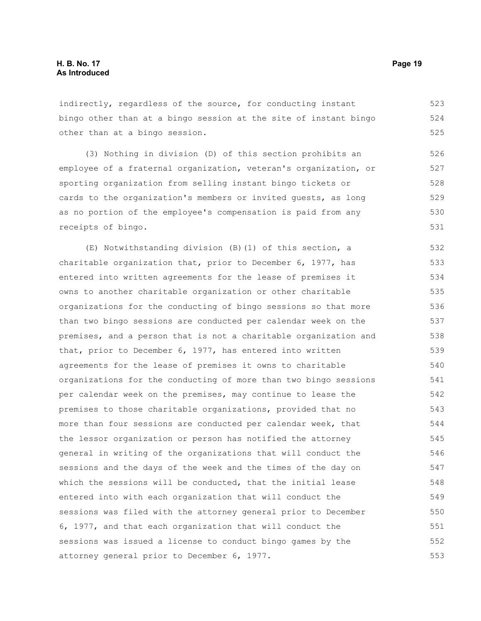indirectly, regardless of the source, for conducting instant bingo other than at a bingo session at the site of instant bingo other than at a bingo session. 523 524 525

(3) Nothing in division (D) of this section prohibits an employee of a fraternal organization, veteran's organization, or sporting organization from selling instant bingo tickets or cards to the organization's members or invited guests, as long as no portion of the employee's compensation is paid from any receipts of bingo. 526 527 528 529 530 531

(E) Notwithstanding division (B)(1) of this section, a charitable organization that, prior to December 6, 1977, has entered into written agreements for the lease of premises it owns to another charitable organization or other charitable organizations for the conducting of bingo sessions so that more than two bingo sessions are conducted per calendar week on the premises, and a person that is not a charitable organization and that, prior to December 6, 1977, has entered into written agreements for the lease of premises it owns to charitable organizations for the conducting of more than two bingo sessions per calendar week on the premises, may continue to lease the premises to those charitable organizations, provided that no more than four sessions are conducted per calendar week, that the lessor organization or person has notified the attorney general in writing of the organizations that will conduct the sessions and the days of the week and the times of the day on which the sessions will be conducted, that the initial lease entered into with each organization that will conduct the sessions was filed with the attorney general prior to December 6, 1977, and that each organization that will conduct the sessions was issued a license to conduct bingo games by the attorney general prior to December 6, 1977. 532 533 534 535 536 537 538 539 540 541 542 543 544 545 546 547 548 549 550 551 552 553